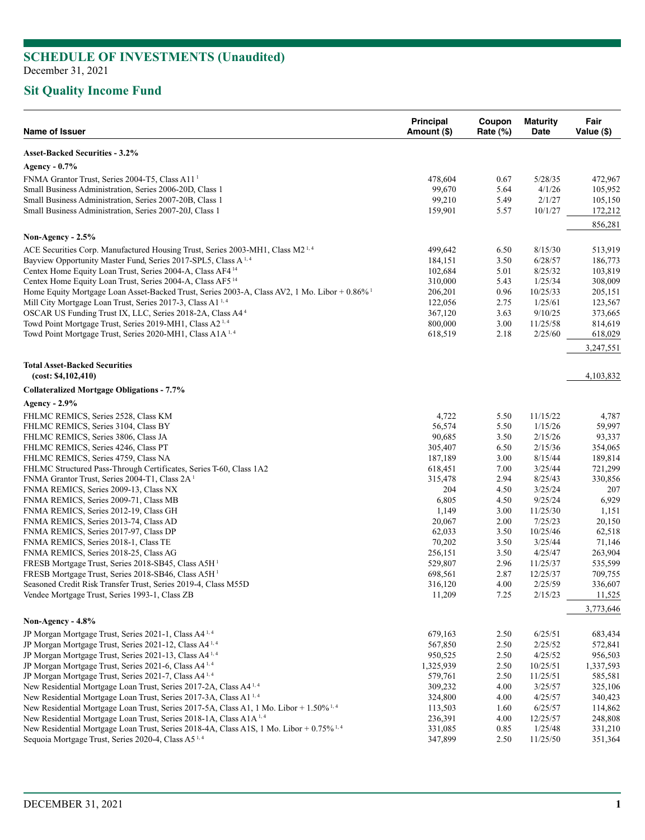# **Sit Quality Income Fund**

| Name of Issuer                                                                                           | <b>Principal</b><br>Amount (\$) | Coupon<br>Rate (%) | <b>Maturity</b><br>Date | Fair<br>Value (\$)  |
|----------------------------------------------------------------------------------------------------------|---------------------------------|--------------------|-------------------------|---------------------|
| <b>Asset-Backed Securities - 3.2%</b>                                                                    |                                 |                    |                         |                     |
| Agency - 0.7%                                                                                            |                                 |                    |                         |                     |
| FNMA Grantor Trust, Series 2004-T5, Class A11 <sup>1</sup>                                               | 478,604                         | 0.67               | 5/28/35                 | 472,967             |
| Small Business Administration, Series 2006-20D, Class 1                                                  | 99,670                          | 5.64               | 4/1/26                  | 105,952             |
| Small Business Administration, Series 2007-20B, Class 1                                                  | 99,210                          | 5.49               | 2/1/27                  | 105,150             |
| Small Business Administration, Series 2007-20J, Class 1                                                  | 159,901                         | 5.57               | 10/1/27                 | 172,212             |
|                                                                                                          |                                 |                    |                         | 856,281             |
| Non-Agency - 2.5%                                                                                        |                                 |                    |                         |                     |
| ACE Securities Corp. Manufactured Housing Trust, Series 2003-MH1, Class M2 <sup>1,4</sup>                | 499,642                         | 6.50               | 8/15/30                 | 513,919             |
| Bayview Opportunity Master Fund, Series 2017-SPL5, Class A <sup>1,4</sup>                                | 184,151                         | 3.50               | 6/28/57                 | 186,773             |
| Centex Home Equity Loan Trust, Series 2004-A, Class AF4 <sup>14</sup>                                    | 102,684                         | 5.01               | 8/25/32                 | 103,819             |
| Centex Home Equity Loan Trust, Series 2004-A, Class AF5 <sup>14</sup>                                    | 310,000                         | 5.43               | 1/25/34                 | 308,009             |
| Home Equity Mortgage Loan Asset-Backed Trust, Series 2003-A, Class AV2, 1 Mo. Libor + 0.86% <sup>1</sup> | 206,201                         | 0.96               | 10/25/33                | 205,151             |
| Mill City Mortgage Loan Trust, Series 2017-3, Class A1 <sup>1,4</sup>                                    | 122,056                         | 2.75               | 1/25/61                 | 123,567             |
| OSCAR US Funding Trust IX, LLC, Series 2018-2A, Class A4 <sup>4</sup>                                    | 367,120                         | 3.63               | 9/10/25                 | 373,665             |
| Towd Point Mortgage Trust, Series 2019-MH1, Class A2 <sup>1,4</sup>                                      | 800,000                         | 3.00               | 11/25/58                | 814,619             |
| Towd Point Mortgage Trust, Series 2020-MH1, Class A1A <sup>1,4</sup>                                     | 618,519                         | 2.18               | 2/25/60                 | 618,029             |
|                                                                                                          |                                 |                    |                         | 3,247,551           |
| <b>Total Asset-Backed Securities</b><br>(cost: \$4,102,410)                                              |                                 |                    |                         | 4,103,832           |
| <b>Collateralized Mortgage Obligations - 7.7%</b>                                                        |                                 |                    |                         |                     |
| Agency - 2.9%                                                                                            |                                 |                    |                         |                     |
| FHLMC REMICS, Series 2528, Class KM                                                                      | 4,722                           | 5.50               | 11/15/22                | 4,787               |
| FHLMC REMICS, Series 3104, Class BY                                                                      | 56,574                          | 5.50               | 1/15/26                 | 59,997              |
| FHLMC REMICS, Series 3806, Class JA                                                                      | 90,685                          | 3.50               | 2/15/26                 | 93,337              |
| FHLMC REMICS, Series 4246, Class PT                                                                      | 305,407                         | 6.50               | 2/15/36                 | 354,065             |
| FHLMC REMICS, Series 4759, Class NA                                                                      | 187,189                         | 3.00               | 8/15/44                 | 189,814             |
| FHLMC Structured Pass-Through Certificates, Series T-60, Class 1A2                                       | 618,451                         | 7.00               | 3/25/44                 | 721,299             |
| FNMA Grantor Trust, Series 2004-T1, Class 2A <sup>1</sup>                                                | 315,478                         | 2.94               | 8/25/43                 | 330,856             |
| FNMA REMICS, Series 2009-13, Class NX                                                                    | 204                             | 4.50               | 3/25/24                 | 207                 |
| FNMA REMICS, Series 2009-71, Class MB                                                                    | 6,805                           | 4.50               | 9/25/24                 | 6,929               |
| FNMA REMICS, Series 2012-19, Class GH                                                                    | 1,149                           | 3.00               | 11/25/30                | 1,151               |
| FNMA REMICS, Series 2013-74, Class AD                                                                    | 20,067                          | 2.00               | 7/25/23                 | 20,150              |
| FNMA REMICS, Series 2017-97, Class DP                                                                    | 62,033                          | 3.50               | 10/25/46                | 62,518              |
| FNMA REMICS, Series 2018-1, Class TE                                                                     | 70,202                          | 3.50               | 3/25/44                 | 71,146              |
| FNMA REMICS, Series 2018-25, Class AG                                                                    | 256,151                         | 3.50               | 4/25/47                 | 263,904             |
| FRESB Mortgage Trust, Series 2018-SB45, Class A5H <sup>1</sup>                                           | 529,807                         | 2.96               | 11/25/37                | 535,599             |
| FRESB Mortgage Trust, Series 2018-SB46, Class A5H <sup>1</sup>                                           | 698,561                         | 2.87               | 12/25/37                | 709,755             |
| Seasoned Credit Risk Transfer Trust, Series 2019-4, Class M55D                                           | 316,120                         | 4.00               | 2/25/59                 | 336,607             |
| Vendee Mortgage Trust, Series 1993-1, Class ZB                                                           | 11,209                          | 7.25               | 2/15/23                 | 11,525<br>3,773,646 |
| Non-Agency - $4.8\%$                                                                                     |                                 |                    |                         |                     |
| JP Morgan Mortgage Trust, Series 2021-1, Class A4 <sup>1,4</sup>                                         | 679,163                         | 2.50               | 6/25/51                 | 683,434             |
| JP Morgan Mortgage Trust, Series 2021-12, Class A4 <sup>1,4</sup>                                        | 567,850                         | 2.50               | 2/25/52                 | 572,841             |
| JP Morgan Mortgage Trust, Series 2021-13, Class A4 <sup>1,4</sup>                                        | 950,525                         | 2.50               | 4/25/52                 | 956,503             |
| JP Morgan Mortgage Trust, Series 2021-6, Class A4 <sup>1,4</sup>                                         | 1,325,939                       | 2.50               | 10/25/51                | 1,337,593           |
| JP Morgan Mortgage Trust, Series 2021-7, Class A4 <sup>1,4</sup>                                         | 579,761                         | 2.50               | 11/25/51                | 585,581             |
| New Residential Mortgage Loan Trust, Series 2017-2A, Class A4 <sup>1,4</sup>                             | 309,232                         | 4.00               | 3/25/57                 | 325,106             |
| New Residential Mortgage Loan Trust, Series 2017-3A, Class A1 <sup>1,4</sup>                             | 324,800                         | 4.00               | 4/25/57                 | 340,423             |
| New Residential Mortgage Loan Trust, Series 2017-5A, Class A1, 1 Mo. Libor + $1.50\%$ <sup>1,4</sup>     | 113,503                         | 1.60               | 6/25/57                 | 114,862             |
| New Residential Mortgage Loan Trust, Series 2018-1A, Class A1A <sup>1,4</sup>                            | 236,391                         | 4.00               | 12/25/57                | 248,808             |
| New Residential Mortgage Loan Trust, Series 2018-4A, Class A1S, 1 Mo. Libor + 0.75% <sup>1,4</sup>       | 331,085                         | 0.85               | 1/25/48                 | 331,210             |
| Sequoia Mortgage Trust, Series 2020-4, Class A5 <sup>1,4</sup>                                           | 347,899                         | 2.50               | 11/25/50                | 351,364             |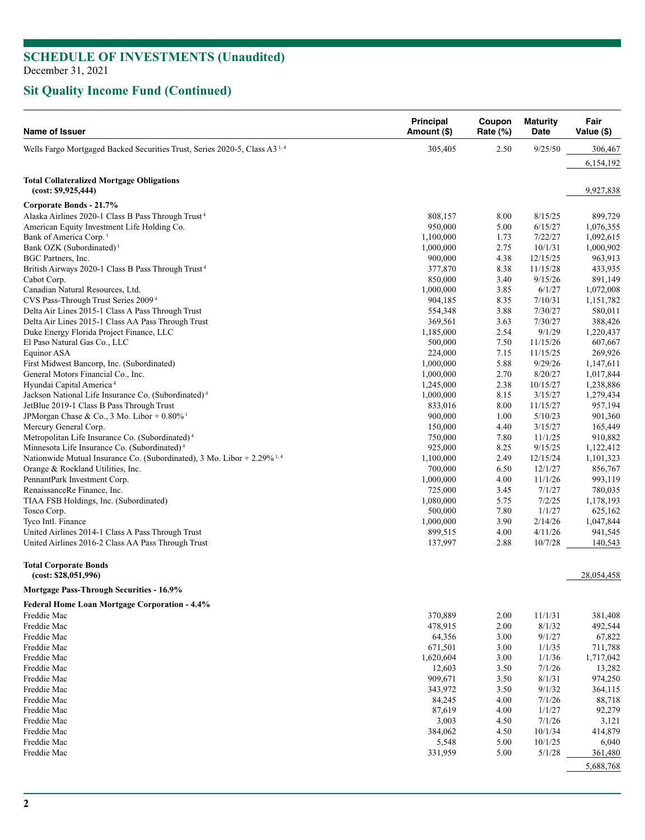# **Sit Quality Income Fund (Continued)**

| Name of Issuer                                                                        | <b>Principal</b><br>Amount (\$) | Coupon<br>Rate (%) | <b>Maturity</b><br>Date | Fair<br>Value (\$)   |
|---------------------------------------------------------------------------------------|---------------------------------|--------------------|-------------------------|----------------------|
| Wells Fargo Mortgaged Backed Securities Trust, Series 2020-5, Class A3 <sup>1,4</sup> | 305,405                         | 2.50               | 9/25/50                 | 306,467              |
|                                                                                       |                                 |                    |                         | 6,154,192            |
| <b>Total Collateralized Mortgage Obligations</b><br>(cost: \$9,925,444)               |                                 |                    |                         | 9,927,838            |
| Corporate Bonds - 21.7%                                                               |                                 |                    |                         |                      |
| Alaska Airlines 2020-1 Class B Pass Through Trust <sup>4</sup>                        | 808,157                         | 8.00               | 8/15/25                 | 899,729              |
| American Equity Investment Life Holding Co.                                           | 950,000                         | 5.00               | 6/15/27                 | 1,076,355            |
| Bank of America Corp. <sup>1</sup>                                                    | 1,100,000                       | 1.73               | 7/22/27                 | 1,092,615            |
| Bank OZK (Subordinated) <sup>1</sup>                                                  | 1,000,000                       | 2.75               | 10/1/31                 | 1,000,902            |
| BGC Partners, Inc.                                                                    | 900,000                         | 4.38               | 12/15/25                | 963,913              |
| British Airways 2020-1 Class B Pass Through Trust <sup>4</sup>                        | 377,870                         | 8.38               | 11/15/28                | 433,935              |
| Cabot Corp.                                                                           | 850,000                         | 3.40               | 9/15/26                 | 891,149              |
| Canadian Natural Resources, Ltd.<br>CVS Pass-Through Trust Series 2009 <sup>4</sup>   | 1,000,000                       | 3.85               | 6/1/27                  | 1,072,008            |
| Delta Air Lines 2015-1 Class A Pass Through Trust                                     | 904,185<br>554,348              | 8.35<br>3.88       | 7/10/31<br>7/30/27      | 1,151,782<br>580,011 |
| Delta Air Lines 2015-1 Class AA Pass Through Trust                                    | 369,561                         | 3.63               | 7/30/27                 | 388,426              |
| Duke Energy Florida Project Finance, LLC                                              | 1,185,000                       | 2.54               | 9/1/29                  | 1,220,437            |
| El Paso Natural Gas Co., LLC                                                          | 500,000                         | 7.50               | 11/15/26                | 607,667              |
| Equinor ASA                                                                           | 224,000                         | 7.15               | 11/15/25                | 269,926              |
| First Midwest Bancorp, Inc. (Subordinated)                                            | 1,000,000                       | 5.88               | 9/29/26                 | 1,147,611            |
| General Motors Financial Co., Inc.                                                    | 1,000,000                       | 2.70               | 8/20/27                 | 1,017,844            |
| Hyundai Capital America <sup>4</sup>                                                  | 1,245,000                       | 2.38               | 10/15/27                | 1,238,886            |
| Jackson National Life Insurance Co. (Subordinated) <sup>4</sup>                       | 1,000,000                       | 8.15               | 3/15/27                 | 1,279,434            |
| JetBlue 2019-1 Class B Pass Through Trust                                             | 833,016                         | 8.00               | 11/15/27                | 957,194              |
| JPMorgan Chase & Co., 3 Mo. Libor + $0.80\%$ <sup>1</sup>                             | 900,000                         | 1.00               | 5/10/23                 | 901,360              |
| Mercury General Corp.                                                                 | 150,000                         | 4.40               | 3/15/27                 | 165,449              |
| Metropolitan Life Insurance Co. (Subordinated) <sup>4</sup>                           | 750,000                         | 7.80               | 11/1/25                 | 910,882              |
| Minnesota Life Insurance Co. (Subordinated) <sup>4</sup>                              | 925,000                         | 8.25               | 9/15/25                 | 1,122,412            |
| Nationwide Mutual Insurance Co. (Subordinated), 3 Mo. Libor + $2.29\%$ <sup>1,4</sup> | 1,100,000                       | 2.49               | 12/15/24                | 1,101,323            |
| Orange & Rockland Utilities, Inc.                                                     | 700,000                         | 6.50               | 12/1/27                 | 856,767              |
| PennantPark Investment Corp.                                                          | 1,000,000                       | 4.00               | 11/1/26                 | 993,119              |
| RenaissanceRe Finance, Inc.                                                           | 725,000                         | 3.45               | 7/1/27                  | 780,035              |
| TIAA FSB Holdings, Inc. (Subordinated)                                                | 1,080,000                       | 5.75               | 7/2/25                  | 1,178,193            |
| Tosco Corp.                                                                           | 500,000                         | 7.80               | 1/1/27                  | 625,162              |
| Tyco Intl. Finance                                                                    | 1,000,000                       | 3.90               | 2/14/26                 | 1,047,844            |
| United Airlines 2014-1 Class A Pass Through Trust                                     | 899,515                         | 4.00               | 4/11/26                 | 941,545              |
| United Airlines 2016-2 Class AA Pass Through Trust                                    | 137,997                         | 2.88               | 10/7/28                 | 140,543              |
| <b>Total Corporate Bonds</b><br>(cost: \$28,051,996)                                  |                                 |                    |                         | 28,054,458           |
| Mortgage Pass-Through Securities - 16.9%                                              |                                 |                    |                         |                      |
| Federal Home Loan Mortgage Corporation - 4.4%                                         |                                 |                    |                         |                      |
| Freddie Mac                                                                           | 370,889                         | 2.00               | 11/1/31                 | 381,408              |
| Freddie Mac                                                                           | 478,915                         | 2.00               | 8/1/32                  | 492,544              |
| Freddie Mac                                                                           | 64,356                          | 3.00               | 9/1/27                  | 67,822               |
| Freddie Mac                                                                           | 671,501                         | 3.00               | 1/1/35                  | 711,788              |
| Freddie Mac                                                                           | 1,620,604                       | 3.00               | 1/1/36                  | 1,717,042            |
| Freddie Mac                                                                           | 12,603                          | 3.50               | 7/1/26                  | 13,282               |
| Freddie Mac                                                                           | 909,671                         | 3.50               | 8/1/31                  | 974,250              |
| Freddie Mac                                                                           | 343,972                         | 3.50               | 9/1/32                  | 364,115              |
| Freddie Mac                                                                           | 84,245                          | 4.00               | 7/1/26                  | 88,718               |
| Freddie Mac                                                                           | 87,619                          | 4.00               | 1/1/27                  | 92,279               |
| Freddie Mac                                                                           | 3,003                           | 4.50               | 7/1/26                  | 3,121                |
| Freddie Mac<br>Freddie Mac                                                            | 384,062<br>5,548                | 4.50<br>5.00       | 10/1/34<br>10/1/25      | 414,879<br>6,040     |
| Freddie Mac                                                                           | 331,959                         | 5.00               | 5/1/28                  | 361,480              |
|                                                                                       |                                 |                    |                         | 5,688,768            |
|                                                                                       |                                 |                    |                         |                      |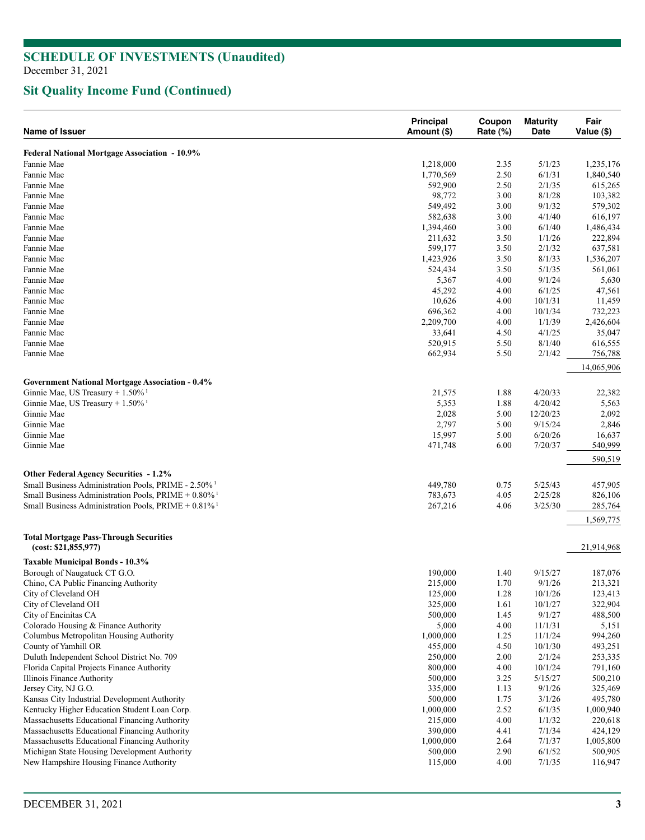# **Sit Quality Income Fund (Continued)**

| <b>Name of Issuer</b>                                                 | <b>Principal</b><br>Amount (\$) | Coupon<br>Rate (%) | <b>Maturity</b><br>Date | Fair<br>Value (\$) |
|-----------------------------------------------------------------------|---------------------------------|--------------------|-------------------------|--------------------|
| Federal National Mortgage Association - 10.9%                         |                                 |                    |                         |                    |
| Fannie Mae                                                            | 1,218,000                       | 2.35               | 5/1/23                  | 1,235,176          |
| Fannie Mae                                                            | 1,770,569                       | 2.50               | 6/1/31                  | 1,840,540          |
| Fannie Mae                                                            | 592,900                         | 2.50               | 2/1/35                  | 615,265            |
| Fannie Mae                                                            | 98,772                          | 3.00               | 8/1/28                  | 103,382            |
| Fannie Mae                                                            | 549,492                         | 3.00               | 9/1/32                  | 579,302            |
| Fannie Mae                                                            | 582,638                         | 3.00               | 4/1/40                  | 616,197            |
| Fannie Mae                                                            | 1,394,460                       | 3.00               | 6/1/40                  | 1,486,434          |
| Fannie Mae                                                            | 211,632                         | 3.50               | 1/1/26                  | 222,894            |
| Fannie Mae                                                            | 599,177                         | 3.50               | 2/1/32                  | 637,581            |
| Fannie Mae                                                            | 1,423,926                       | 3.50               | 8/1/33                  | 1,536,207          |
| Fannie Mae                                                            | 524,434                         | 3.50               | 5/1/35                  | 561,061            |
| Fannie Mae                                                            | 5,367                           | 4.00               | 9/1/24                  | 5,630              |
| Fannie Mae                                                            | 45,292                          | 4.00               | 6/1/25                  | 47,561             |
| Fannie Mae                                                            | 10,626                          | 4.00               | 10/1/31                 | 11,459             |
| Fannie Mae                                                            | 696,362                         | 4.00               | 10/1/34                 | 732,223            |
| Fannie Mae                                                            | 2,209,700                       | 4.00               | 1/1/39                  | 2,426,604          |
| Fannie Mae                                                            | 33,641                          | 4.50               | 4/1/25                  | 35,047             |
| Fannie Mae                                                            | 520,915                         | 5.50               | 8/1/40                  | 616,555            |
| Fannie Mae                                                            | 662,934                         | 5.50               | 2/1/42                  | 756,788            |
|                                                                       |                                 |                    |                         | 14,065,906         |
| <b>Government National Mortgage Association - 0.4%</b>                |                                 |                    |                         |                    |
| Ginnie Mae, US Treasury + 1.50% <sup>1</sup>                          | 21,575                          | 1.88               | 4/20/33                 | 22,382             |
| Ginnie Mae, US Treasury + $1.50\%$ <sup>1</sup>                       | 5,353                           | 1.88               | 4/20/42                 | 5,563              |
| Ginnie Mae                                                            | 2,028                           | 5.00               | 12/20/23                | 2,092              |
| Ginnie Mae                                                            | 2,797                           | 5.00               | 9/15/24                 | 2,846              |
| Ginnie Mae                                                            | 15,997                          | 5.00               | 6/20/26                 | 16,637             |
| Ginnie Mae                                                            | 471,748                         | 6.00               | 7/20/37                 | 540,999            |
|                                                                       |                                 |                    |                         | 590,519            |
| Other Federal Agency Securities - 1.2%                                |                                 |                    |                         |                    |
| Small Business Administration Pools, PRIME - 2.50% <sup>1</sup>       | 449,780                         | 0.75               | 5/25/43                 | 457,905            |
| Small Business Administration Pools, $PRIME + 0.80\%$ <sup>1</sup>    | 783,673                         | 4.05               | 2/25/28                 | 826,106            |
| Small Business Administration Pools, $PRIME + 0.81\%$ <sup>1</sup>    | 267,216                         | 4.06               | 3/25/30                 | 285,764            |
|                                                                       |                                 |                    |                         | 1,569,775          |
| <b>Total Mortgage Pass-Through Securities</b><br>(cost: \$21,855,977) |                                 |                    |                         | 21,914,968         |
| <b>Taxable Municipal Bonds - 10.3%</b>                                |                                 |                    |                         |                    |
| Borough of Naugatuck CT G.O.                                          | 190,000                         | 1.40               | 9/15/27                 | 187,076            |
| Chino, CA Public Financing Authority                                  | 215,000                         | 1.70               | 9/1/26                  | 213,321            |
| City of Cleveland OH                                                  | 125,000                         | 1.28               | 10/1/26                 | 123,413            |
| City of Cleveland OH                                                  | 325,000                         | 1.61               | 10/1/27                 | 322,904            |
| City of Encinitas CA                                                  | 500,000                         | 1.45               | 9/1/27                  | 488,500            |
| Colorado Housing & Finance Authority                                  | 5,000                           | 4.00               | 11/1/31                 | 5,151              |
| Columbus Metropolitan Housing Authority                               | 1,000,000                       | 1.25               | 11/1/24                 | 994,260            |
| County of Yamhill OR                                                  | 455,000                         | 4.50               | 10/1/30                 | 493,251            |
| Duluth Independent School District No. 709                            | 250,000                         | 2.00               | 2/1/24                  | 253,335            |
| Florida Capital Projects Finance Authority                            | 800,000                         | 4.00               | 10/1/24                 | 791,160            |
| <b>Illinois Finance Authority</b>                                     | 500,000                         | 3.25               | 5/15/27                 | 500,210            |
| Jersey City, NJ G.O.                                                  | 335,000                         | 1.13               | 9/1/26                  | 325,469            |
| Kansas City Industrial Development Authority                          | 500,000                         | 1.75               | 3/1/26                  | 495,780            |
| Kentucky Higher Education Student Loan Corp.                          | 1,000,000                       | 2.52               | 6/1/35                  | 1,000,940          |
| Massachusetts Educational Financing Authority                         | 215,000                         | 4.00               | 1/1/32                  | 220,618            |
| Massachusetts Educational Financing Authority                         | 390,000                         | 4.41               | 7/1/34                  | 424,129            |
| Massachusetts Educational Financing Authority                         | 1,000,000                       | 2.64               | 7/1/37                  | 1,005,800          |
| Michigan State Housing Development Authority                          | 500,000                         | 2.90               | 6/1/52                  | 500,905            |
| New Hampshire Housing Finance Authority                               | 115,000                         | 4.00               | 7/1/35                  | 116,947            |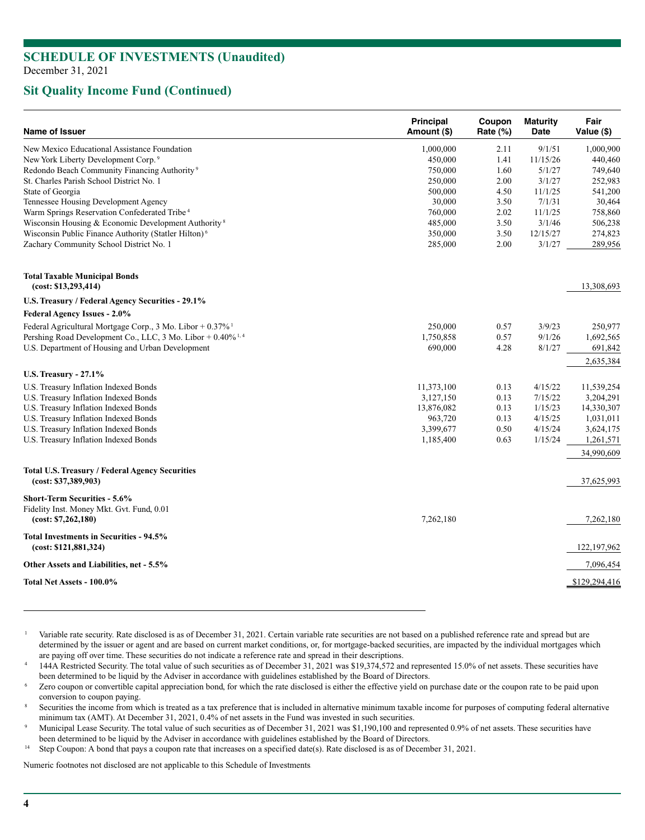## **Sit Quality Income Fund (Continued)**

| <b>Name of Issuer</b>                                                    | <b>Principal</b><br>Amount (\$) | Coupon<br>Rate (%) | <b>Maturity</b><br>Date | Fair<br>Value (\$) |
|--------------------------------------------------------------------------|---------------------------------|--------------------|-------------------------|--------------------|
| New Mexico Educational Assistance Foundation                             | 1,000,000                       | 2.11               | 9/1/51                  | 1,000,900          |
| New York Liberty Development Corp. <sup>9</sup>                          | 450,000                         | 1.41               | 11/15/26                | 440,460            |
| Redondo Beach Community Financing Authority <sup>9</sup>                 | 750,000                         | 1.60               | 5/1/27                  | 749,640            |
| St. Charles Parish School District No. 1                                 | 250,000                         | 2.00               | 3/1/27                  | 252,983            |
| State of Georgia                                                         | 500,000                         | 4.50               | 11/1/25                 | 541,200            |
| Tennessee Housing Development Agency                                     | 30,000                          | 3.50               | 7/1/31                  | 30,464             |
| Warm Springs Reservation Confederated Tribe <sup>4</sup>                 | 760,000                         | 2.02               | 11/1/25                 | 758,860            |
| Wisconsin Housing & Economic Development Authority <sup>8</sup>          | 485,000                         | 3.50               | 3/1/46                  | 506,238            |
| Wisconsin Public Finance Authority (Statler Hilton) <sup>6</sup>         | 350,000                         | 3.50               | 12/15/27                | 274,823            |
| Zachary Community School District No. 1                                  | 285,000                         | 2.00               | 3/1/27                  | 289,956            |
| <b>Total Taxable Municipal Bonds</b><br>(cost: \$13,293,414)             |                                 |                    |                         | 13,308,693         |
| U.S. Treasury / Federal Agency Securities - 29.1%                        |                                 |                    |                         |                    |
| <b>Federal Agency Issues - 2.0%</b>                                      |                                 |                    |                         |                    |
| Federal Agricultural Mortgage Corp., 3 Mo. Libor + $0.37\%$ <sup>1</sup> | 250,000                         | 0.57               | 3/9/23                  | 250,977            |
| Pershing Road Development Co., LLC, 3 Mo. Libor + 0.40% <sup>1,4</sup>   | 1,750,858                       | 0.57               | 9/1/26                  | 1,692,565          |
| U.S. Department of Housing and Urban Development                         | 690,000                         | 4.28               | 8/1/27                  | 691,842            |
|                                                                          |                                 |                    |                         | 2,635,384          |
| <b>U.S. Treasury - 27.1%</b>                                             |                                 |                    |                         |                    |
| U.S. Treasury Inflation Indexed Bonds                                    | 11,373,100                      | 0.13               | 4/15/22                 | 11,539,254         |
| U.S. Treasury Inflation Indexed Bonds                                    | 3,127,150                       | 0.13               | 7/15/22                 | 3,204,291          |
| U.S. Treasury Inflation Indexed Bonds                                    | 13,876,082                      | 0.13               | 1/15/23                 | 14,330,307         |
| U.S. Treasury Inflation Indexed Bonds                                    | 963,720                         | 0.13               | 4/15/25                 | 1,031,011          |
| U.S. Treasury Inflation Indexed Bonds                                    | 3,399,677                       | 0.50               | 4/15/24                 | 3,624,175          |
| U.S. Treasury Inflation Indexed Bonds                                    | 1,185,400                       | 0.63               | 1/15/24                 | 1,261,571          |
|                                                                          |                                 |                    |                         | 34,990,609         |
| Total U.S. Treasury / Federal Agency Securities<br>(cost: \$37,389,903)  |                                 |                    |                         | 37,625,993         |
| <b>Short-Term Securities - 5.6%</b>                                      |                                 |                    |                         |                    |
| Fidelity Inst. Money Mkt. Gvt. Fund, 0.01<br>(cost: \$7,262,180)         | 7,262,180                       |                    |                         | 7,262,180          |
| <b>Total Investments in Securities - 94.5%</b><br>(cost: \$121,881,324)  |                                 |                    |                         | 122, 197, 962      |
| Other Assets and Liabilities, net - 5.5%                                 |                                 |                    |                         | 7,096,454          |
| Total Net Assets - 100.0%                                                |                                 |                    |                         | \$129,294,416      |
|                                                                          |                                 |                    |                         |                    |

Variable rate security. Rate disclosed is as of December 31, 2021. Certain variable rate securities are not based on a published reference rate and spread but are determined by the issuer or agent and are based on current market conditions, or, for mortgage-backed securities, are impacted by the individual mortgages which are paying off over time. These securities do not indicate a

144A Restricted Security. The total value of such securities as of December 31, 2021 was \$19,374,572 and represented 15.0% of net assets. These securities have been determined to be liquid by the Adviser in accordance with guidelines established by the Board of Directors.<br>Zero coupon or convertible capital appreciation bond, for which the rate disclosed is either the effective yi

conversion to coupon paying.<br>Securities the income from which is treated as a tax preference that is included in alternative minimum taxable income for purposes of computing federal alternative minimum tax (AMT). At December 31, 2021, 0.4% of net assets in the Fund was invested in such securities.<br>Municipal Lease Security. The total value of such securities as of December 31, 2021 was \$1,190,100 and represented 0

been determined to be liquid by the Adviser in accordance with guidelines established by the Board of Directors.<br><sup>14</sup> Step Coupon: A bond that pays a coupon rate that increases on a specified date(s). Rate disclosed is as

Numeric footnotes not disclosed are not applicable to this Schedule of Investments*.*